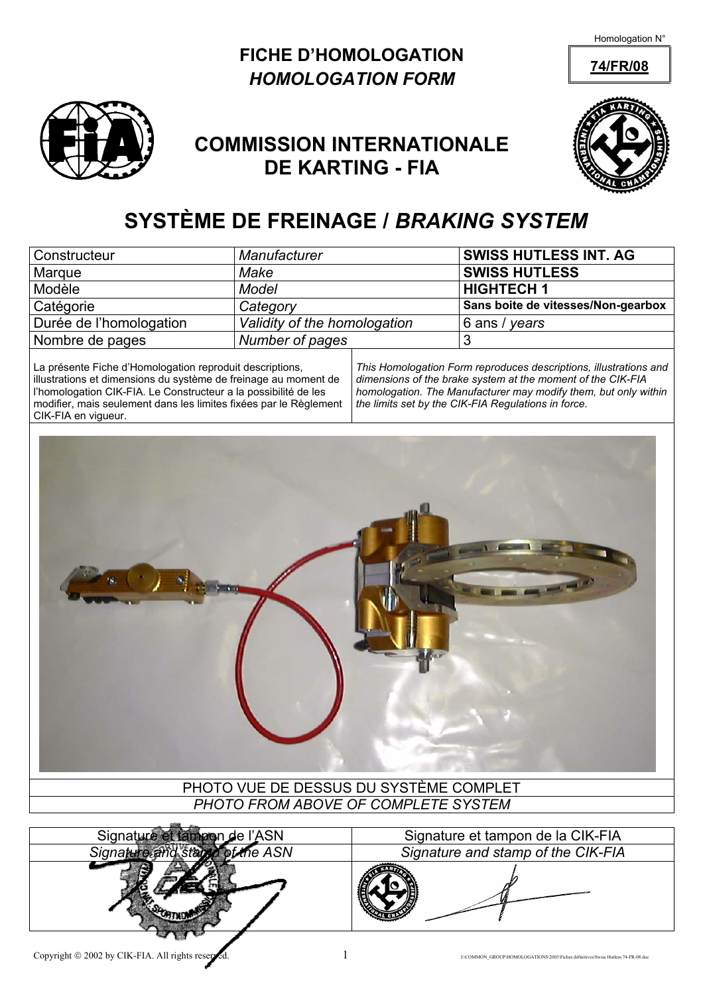Homologation N°





## **COMMISSION INTERNATIONALE DE KARTING - FIA**



# **SYSTÈME DE FREINAGE /** *BRAKING SYSTEM*

| Constructeur            | Manufacturer                 | <b>SWISS HUTLESS INT. AG</b>       |
|-------------------------|------------------------------|------------------------------------|
| Marque                  | Make                         | <b>SWISS HUTLESS</b>               |
| Modèle                  | Model                        | <b>HIGHTECH1</b>                   |
| Catégorie               | Category                     | Sans boite de vitesses/Non-gearbox |
| Durée de l'homologation | Validity of the homologation | $\frac{1}{6}$ ans / years          |
| Nombre de pages         | Number of pages              |                                    |

La présente Fiche d'Homologation reproduit descriptions, illustrations et dimensions du système de freinage au moment de l'homologation CIK-FIA. Le Constructeur a la possibilité de les modifier, mais seulement dans les limites fixées par le Règlement CIK-FIA en vigueur.

*This Homologation Form reproduces descriptions, illustrations and dimensions of the brake system at the moment of the CIK-FIA homologation. The Manufacturer may modify them, but only within the limits set by the CIK-FIA Regulations in force.* 



#### PHOTO VUE DE DESSUS DU SYSTÈME COMPLET *PHOTO FROM ABOVE OF COMPLETE SYSTEM*



Signature et tampon de l'ASN Signature et tampon de la CIK-FIA *Signature and stamp of the ASN Signature and stamp of the CIK-FIA*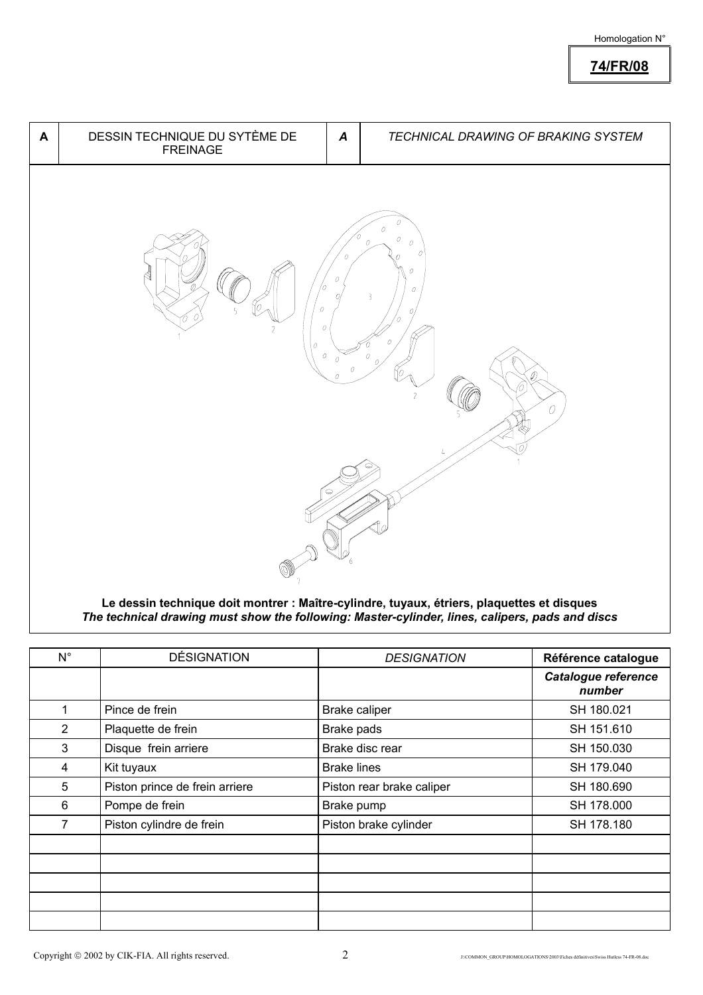#### Homologation N°

**74/FR/08**



**Le dessin technique doit montrer : Maître-cylindre, tuyaux, étriers, plaquettes et disques**  *The technical drawing must show the following: Master-cylinder, lines, calipers, pads and discs*

| $N^{\circ}$    | <b>DÉSIGNATION</b>             | <b>DESIGNATION</b>        | Référence catalogue           |
|----------------|--------------------------------|---------------------------|-------------------------------|
|                |                                |                           | Catalogue reference<br>number |
| 1              | Pince de frein                 | Brake caliper             | SH 180.021                    |
| $\overline{2}$ | Plaquette de frein             | Brake pads                | SH 151.610                    |
| 3              | Disque frein arriere           | Brake disc rear           | SH 150.030                    |
| 4              | Kit tuyaux                     | <b>Brake lines</b>        | SH 179.040                    |
| 5              | Piston prince de frein arriere | Piston rear brake caliper | SH 180.690                    |
| 6              | Pompe de frein                 | Brake pump                | SH 178.000                    |
|                | Piston cylindre de frein       | Piston brake cylinder     | SH 178.180                    |
|                |                                |                           |                               |
|                |                                |                           |                               |
|                |                                |                           |                               |
|                |                                |                           |                               |
|                |                                |                           |                               |